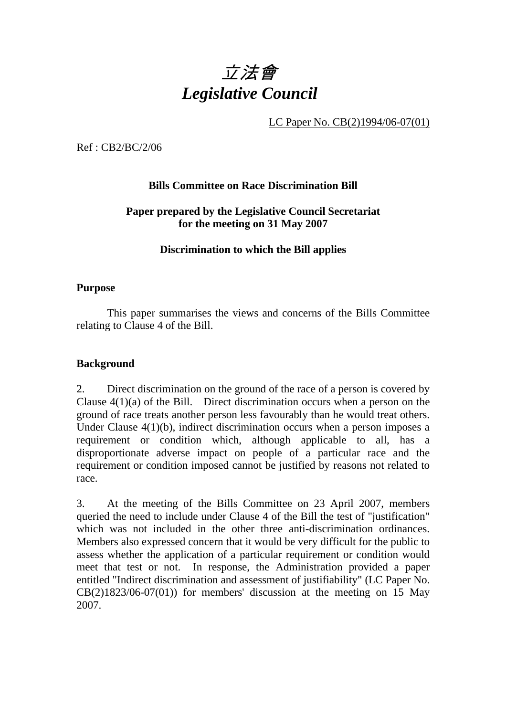# 立法會 *Legislative Council*

LC Paper No. CB(2)1994/06-07(01)

Ref : CB2/BC/2/06

## **Bills Committee on Race Discrimination Bill**

## **Paper prepared by the Legislative Council Secretariat for the meeting on 31 May 2007**

### **Discrimination to which the Bill applies**

#### **Purpose**

1. This paper summarises the views and concerns of the Bills Committee relating to Clause 4 of the Bill.

#### **Background**

2. Direct discrimination on the ground of the race of a person is covered by Clause 4(1)(a) of the Bill. Direct discrimination occurs when a person on the ground of race treats another person less favourably than he would treat others. Under Clause 4(1)(b), indirect discrimination occurs when a person imposes a requirement or condition which, although applicable to all, has a disproportionate adverse impact on people of a particular race and the requirement or condition imposed cannot be justified by reasons not related to race.

3. At the meeting of the Bills Committee on 23 April 2007, members queried the need to include under Clause 4 of the Bill the test of "justification" which was not included in the other three anti-discrimination ordinances. Members also expressed concern that it would be very difficult for the public to assess whether the application of a particular requirement or condition would meet that test or not. In response, the Administration provided a paper entitled "Indirect discrimination and assessment of justifiability" (LC Paper No.  $CB(2)1823/06-07(01)$  for members' discussion at the meeting on 15 May 2007.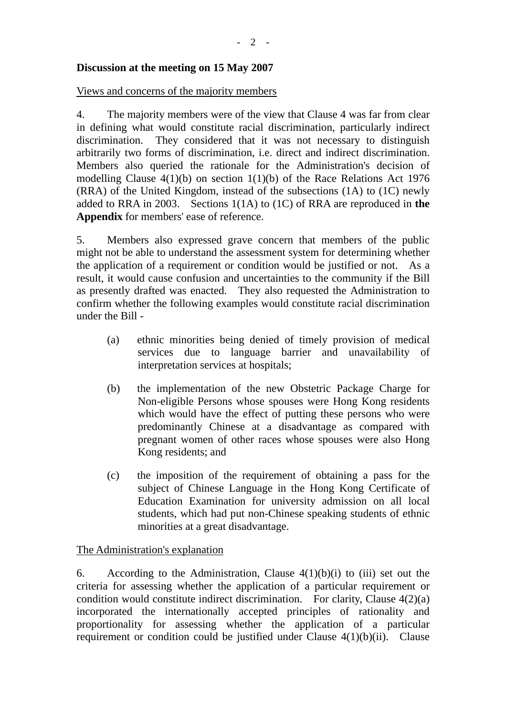#### **Discussion at the meeting on 15 May 2007**

#### Views and concerns of the majority members

4. The majority members were of the view that Clause 4 was far from clear in defining what would constitute racial discrimination, particularly indirect discrimination. They considered that it was not necessary to distinguish arbitrarily two forms of discrimination, i.e. direct and indirect discrimination. Members also queried the rationale for the Administration's decision of modelling Clause 4(1)(b) on section 1(1)(b) of the Race Relations Act 1976 (RRA) of the United Kingdom, instead of the subsections (1A) to (1C) newly added to RRA in 2003. Sections 1(1A) to (1C) of RRA are reproduced in **the Appendix** for members' ease of reference.

5. Members also expressed grave concern that members of the public might not be able to understand the assessment system for determining whether the application of a requirement or condition would be justified or not. As a result, it would cause confusion and uncertainties to the community if the Bill as presently drafted was enacted. They also requested the Administration to confirm whether the following examples would constitute racial discrimination under the Bill -

- (a) ethnic minorities being denied of timely provision of medical services due to language barrier and unavailability of interpretation services at hospitals;
- (b) the implementation of the new Obstetric Package Charge for Non-eligible Persons whose spouses were Hong Kong residents which would have the effect of putting these persons who were predominantly Chinese at a disadvantage as compared with pregnant women of other races whose spouses were also Hong Kong residents; and
- (c) the imposition of the requirement of obtaining a pass for the subject of Chinese Language in the Hong Kong Certificate of Education Examination for university admission on all local students, which had put non-Chinese speaking students of ethnic minorities at a great disadvantage.

#### The Administration's explanation

6. According to the Administration, Clause  $4(1)(b)(i)$  to (iii) set out the criteria for assessing whether the application of a particular requirement or condition would constitute indirect discrimination. For clarity, Clause 4(2)(a) incorporated the internationally accepted principles of rationality and proportionality for assessing whether the application of a particular requirement or condition could be justified under Clause  $4(1)(b)(ii)$ . Clause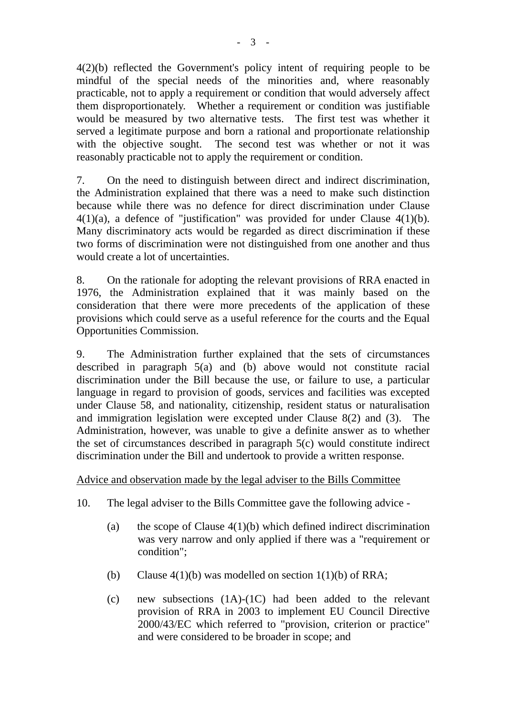4(2)(b) reflected the Government's policy intent of requiring people to be mindful of the special needs of the minorities and, where reasonably practicable, not to apply a requirement or condition that would adversely affect them disproportionately. Whether a requirement or condition was justifiable would be measured by two alternative tests. The first test was whether it served a legitimate purpose and born a rational and proportionate relationship with the objective sought. The second test was whether or not it was reasonably practicable not to apply the requirement or condition.

7. On the need to distinguish between direct and indirect discrimination, the Administration explained that there was a need to make such distinction because while there was no defence for direct discrimination under Clause  $4(1)(a)$ , a defence of "justification" was provided for under Clause  $4(1)(b)$ . Many discriminatory acts would be regarded as direct discrimination if these two forms of discrimination were not distinguished from one another and thus would create a lot of uncertainties.

8. On the rationale for adopting the relevant provisions of RRA enacted in 1976, the Administration explained that it was mainly based on the consideration that there were more precedents of the application of these provisions which could serve as a useful reference for the courts and the Equal Opportunities Commission.

9. The Administration further explained that the sets of circumstances described in paragraph  $5(a)$  and  $(b)$  above would not constitute racial discrimination under the Bill because the use, or failure to use, a particular language in regard to provision of goods, services and facilities was excepted under Clause 58, and nationality, citizenship, resident status or naturalisation and immigration legislation were excepted under Clause 8(2) and (3). The Administration, however, was unable to give a definite answer as to whether the set of circumstances described in paragraph 5(c) would constitute indirect discrimination under the Bill and undertook to provide a written response.

#### Advice and observation made by the legal adviser to the Bills Committee

- 10. The legal adviser to the Bills Committee gave the following advice
	- (a) the scope of Clause  $4(1)(b)$  which defined indirect discrimination was very narrow and only applied if there was a "requirement or condition";
	- (b) Clause  $4(1)(b)$  was modelled on section  $1(1)(b)$  of RRA;
	- (c) new subsections (1A)-(1C) had been added to the relevant provision of RRA in 2003 to implement EU Council Directive 2000/43/EC which referred to "provision, criterion or practice" and were considered to be broader in scope; and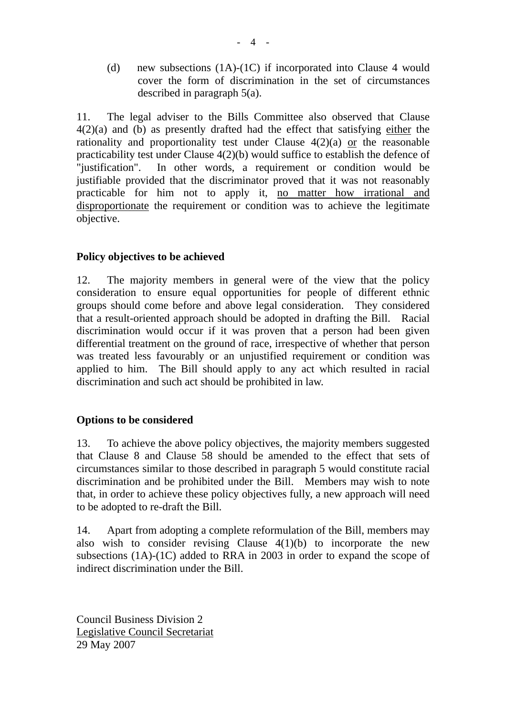(d) new subsections (1A)-(1C) if incorporated into Clause 4 would cover the form of discrimination in the set of circumstances described in paragraph 5(a).

11. The legal adviser to the Bills Committee also observed that Clause  $4(2)(a)$  and (b) as presently drafted had the effect that satisfying either the rationality and proportionality test under Clause 4(2)(a) or the reasonable practicability test under Clause 4(2)(b) would suffice to establish the defence of "justification". In other words, a requirement or condition would be justifiable provided that the discriminator proved that it was not reasonably practicable for him not to apply it, no matter how irrational and disproportionate the requirement or condition was to achieve the legitimate objective.

## **Policy objectives to be achieved**

12. The majority members in general were of the view that the policy consideration to ensure equal opportunities for people of different ethnic groups should come before and above legal consideration. They considered that a result-oriented approach should be adopted in drafting the Bill. Racial discrimination would occur if it was proven that a person had been given differential treatment on the ground of race, irrespective of whether that person was treated less favourably or an unjustified requirement or condition was applied to him. The Bill should apply to any act which resulted in racial discrimination and such act should be prohibited in law.

## **Options to be considered**

13. To achieve the above policy objectives, the majority members suggested that Clause 8 and Clause 58 should be amended to the effect that sets of circumstances similar to those described in paragraph 5 would constitute racial discrimination and be prohibited under the Bill. Members may wish to note that, in order to achieve these policy objectives fully, a new approach will need to be adopted to re-draft the Bill.

14. Apart from adopting a complete reformulation of the Bill, members may also wish to consider revising Clause  $4(1)(b)$  to incorporate the new subsections (1A)-(1C) added to RRA in 2003 in order to expand the scope of indirect discrimination under the Bill.

Council Business Division 2 Legislative Council Secretariat 29 May 2007